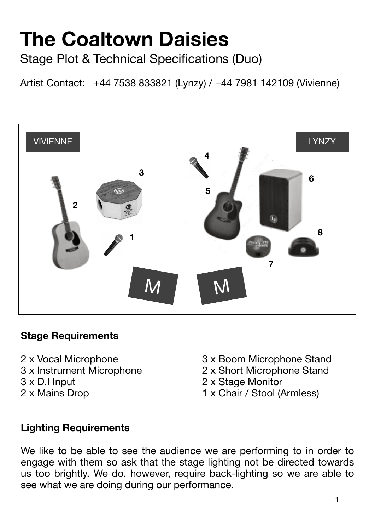# **The Coaltown Daisies**

Stage Plot & Technical Specifications (Duo)

Artist Contact: +44 7538 833821 (Lynzy) / +44 7981 142109 (Vivienne)



#### **Stage Requirements**

- 
- 
- 
- 
- 2 x Vocal Microphone 3 x Boom Microphone Stand
- 3 x Instrument Microphone 2 x Short Microphone Stand
- 3 x D.I Input 2 x Stage Monitor
- 2 x Mains Drop **1** x Chair / Stool (Armless)

#### **Lighting Requirements**

We like to be able to see the audience we are performing to in order to engage with them so ask that the stage lighting not be directed towards us too brightly. We do, however, require back-lighting so we are able to see what we are doing during our performance.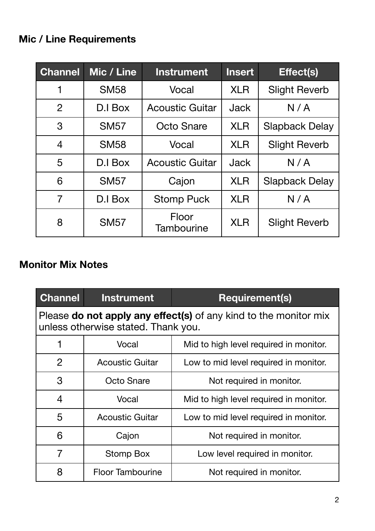#### **Mic / Line Requirements**

| <b>Channel</b> | Mic / Line  | <b>Instrument</b>      | <b>Insert</b> | Effect(s)             |
|----------------|-------------|------------------------|---------------|-----------------------|
| 1              | <b>SM58</b> | Vocal                  | <b>XLR</b>    | <b>Slight Reverb</b>  |
| $\overline{2}$ | D.I Box     | <b>Acoustic Guitar</b> | <b>Jack</b>   | N/A                   |
| 3              | <b>SM57</b> | Octo Snare             | <b>XLR</b>    | <b>Slapback Delay</b> |
| $\overline{4}$ | <b>SM58</b> | Vocal                  | <b>XLR</b>    | <b>Slight Reverb</b>  |
| 5              | D.I Box     | <b>Acoustic Guitar</b> | <b>Jack</b>   | N/A                   |
| 6              | <b>SM57</b> | Cajon                  | <b>XLR</b>    | <b>Slapback Delay</b> |
| 7              | D.I Box     | <b>Stomp Puck</b>      | <b>XLR</b>    | N/A                   |
| 8              | <b>SM57</b> | Floor<br>Tambourine    | <b>XLR</b>    | <b>Slight Reverb</b>  |

#### **Monitor Mix Notes**

| <b>Channel</b>                                                                                          | <b>Instrument</b>       | <b>Requirement(s)</b>                  |  |  |
|---------------------------------------------------------------------------------------------------------|-------------------------|----------------------------------------|--|--|
| Please do not apply any effect(s) of any kind to the monitor mix<br>unless otherwise stated. Thank you. |                         |                                        |  |  |
| 1                                                                                                       | Vocal                   | Mid to high level required in monitor. |  |  |
| 2                                                                                                       | <b>Acoustic Guitar</b>  | Low to mid level required in monitor.  |  |  |
| 3                                                                                                       | Octo Snare              | Not required in monitor.               |  |  |
| 4                                                                                                       | Vocal                   | Mid to high level required in monitor. |  |  |
| 5                                                                                                       | <b>Acoustic Guitar</b>  | Low to mid level required in monitor.  |  |  |
| 6                                                                                                       | Cajon                   | Not required in monitor.               |  |  |
| $\overline{7}$                                                                                          | Stomp Box               | Low level required in monitor.         |  |  |
| 8                                                                                                       | <b>Floor Tambourine</b> | Not required in monitor.               |  |  |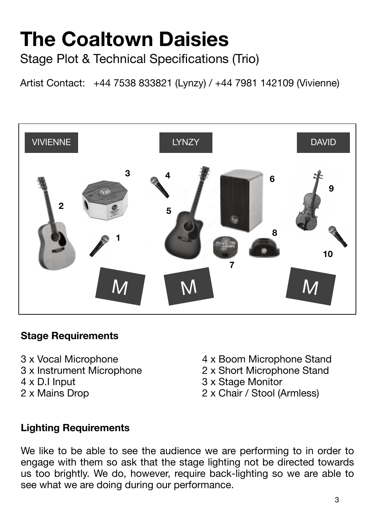### **The Coaltown Daisies** Stage Plot & Technical Specifications (Trio)

Artist Contact: +44 7538 833821 (Lynzy) / +44 7981 142109 (Vivienne)



#### **Stage Requirements**

- 
- 
- 
- 
- 3 x Vocal Microphone 4 x Boom Microphone Stand
- 3 x Instrument Microphone 2 x Short Microphone Stand
- 4 x D.I Input 3 x Stage Monitor
- 2 x Mains Drop 2 x Chair / Stool (Armless)

#### **Lighting Requirements**

We like to be able to see the audience we are performing to in order to engage with them so ask that the stage lighting not be directed towards us too brightly. We do, however, require back-lighting so we are able to see what we are doing during our performance.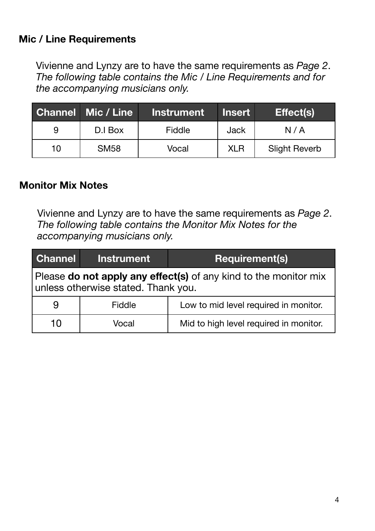#### **Mic / Line Requirements**

Vivienne and Lynzy are to have the same requirements as *Page 2*. *The following table contains the Mic / Line Requirements and for the accompanying musicians only.*

|    | <b>Channel Mic / Line</b> | <b>Instrument</b> | <b>Insert</b> | <b>Effect(s)</b>     |
|----|---------------------------|-------------------|---------------|----------------------|
| 9  | D.I Box                   | Fiddle            | Jack          | N/A                  |
| 10 | <b>SM58</b>               | Vocal             | <b>XLR</b>    | <b>Slight Reverb</b> |

#### **Monitor Mix Notes**

Vivienne and Lynzy are to have the same requirements as *Page 2*. *The following table contains the Monitor Mix Notes for the accompanying musicians only.*

| Channel                                                                                                        | <b>Instrument</b> | <b>Requirement(s)</b>                  |  |
|----------------------------------------------------------------------------------------------------------------|-------------------|----------------------------------------|--|
| Please <b>do not apply any effect(s)</b> of any kind to the monitor mix<br>unless otherwise stated. Thank you. |                   |                                        |  |
|                                                                                                                | Fiddle            | Low to mid level required in monitor.  |  |
| 10                                                                                                             | Vocal             | Mid to high level required in monitor. |  |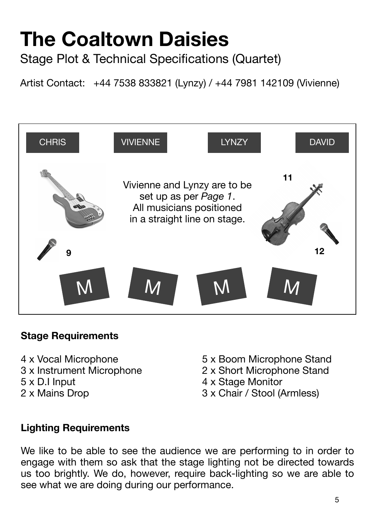## **The Coaltown Daisies**

Stage Plot & Technical Specifications (Quartet)

Artist Contact: +44 7538 833821 (Lynzy) / +44 7981 142109 (Vivienne)



#### **Stage Requirements**

- 
- 
- 
- 
- 4 x Vocal Microphone **8** 6 x Boom Microphone Stand
- 3 x Instrument Microphone 2 x Short Microphone Stand
	-
- 5 x D.I Input 4 x Stage Monitor<br>
2 x Mains Drop 3 x Chair / Stool (A 3 x Chair / Stool (Armless)

#### **Lighting Requirements**

We like to be able to see the audience we are performing to in order to engage with them so ask that the stage lighting not be directed towards us too brightly. We do, however, require back-lighting so we are able to see what we are doing during our performance.